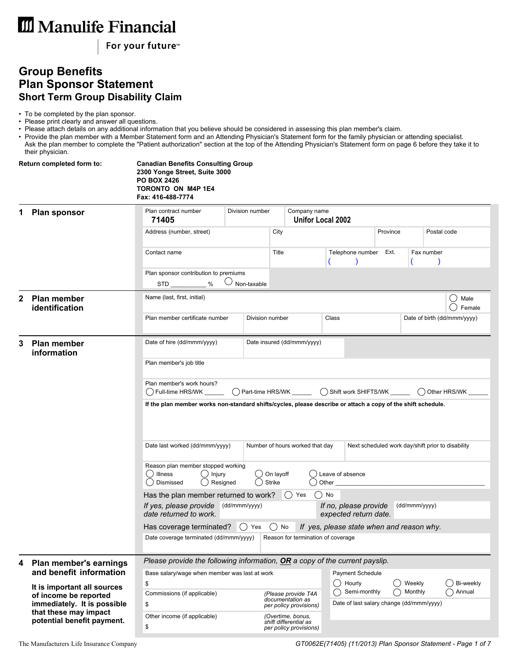For your future<sup>™</sup>

## **Group Benefits Plan Sponsor Statement Short Term Group Disability Claim**

• To be completed by the plan sponsor.

• Please print clearly and answer all questions.

• Please attach details on any additional information that you believe should be considered in assessing this plan member's claim.

• Provide the plan member with a Member Statement form and an Attending Physician's Statement form for the family physician or attending specialist. Ask the plan member to complete the "Patient authorization" section at the top of the Attending Physician's Statement form on page 6 before they take it to their physician.

|   | Return completed form to:                                                           | <b>Canadian Benefits Consulting Group</b><br>2300 Yonge Street, Suite 3000<br><b>PO BOX 2426</b><br>TORONTO ON M4P 1E4<br>Fax: 416-488-7774 |                                                                                                                                                                                |                            |                                                                      |                                                                                  |                             |                   |             |                       |  |  |  |
|---|-------------------------------------------------------------------------------------|---------------------------------------------------------------------------------------------------------------------------------------------|--------------------------------------------------------------------------------------------------------------------------------------------------------------------------------|----------------------------|----------------------------------------------------------------------|----------------------------------------------------------------------------------|-----------------------------|-------------------|-------------|-----------------------|--|--|--|
|   | <b>Plan sponsor</b>                                                                 | Plan contract number<br>71405                                                                                                               | Division number                                                                                                                                                                |                            |                                                                      | Company name<br><b>Unifor Local 2002</b>                                         |                             |                   |             |                       |  |  |  |
|   |                                                                                     | Address (number, street)                                                                                                                    |                                                                                                                                                                                | City                       |                                                                      |                                                                                  | Province                    |                   | Postal code |                       |  |  |  |
|   |                                                                                     | Contact name                                                                                                                                |                                                                                                                                                                                | Title<br>Telephone number  |                                                                      |                                                                                  | Ext.<br>Fax number          |                   |             |                       |  |  |  |
|   |                                                                                     | Plan sponsor contribution to premiums<br>$STD$ %                                                                                            | $\cup$ Non-taxable                                                                                                                                                             |                            |                                                                      |                                                                                  |                             |                   |             |                       |  |  |  |
| 2 | <b>Plan member</b><br>identification                                                | Name (last, first, initial)                                                                                                                 |                                                                                                                                                                                |                            |                                                                      |                                                                                  |                             |                   |             | ( )<br>Male<br>Female |  |  |  |
|   |                                                                                     | Plan member certificate number                                                                                                              | Division number                                                                                                                                                                |                            |                                                                      | Class                                                                            | Date of birth (dd/mmm/yyyy) |                   |             |                       |  |  |  |
| 3 | <b>Plan member</b><br>information                                                   | Date of hire (dd/mmm/yyyy)                                                                                                                  |                                                                                                                                                                                |                            | Date insured (dd/mmm/yyyy)                                           |                                                                                  |                             |                   |             |                       |  |  |  |
|   |                                                                                     | Plan member's job title                                                                                                                     |                                                                                                                                                                                |                            |                                                                      |                                                                                  |                             |                   |             |                       |  |  |  |
|   |                                                                                     | Plan member's work hours?                                                                                                                   | () Shift work SHIFTS/WK<br>( ) Full-time HRS/WK<br>() Part-time HRS/WK<br>Other HRS/WK                                                                                         |                            |                                                                      |                                                                                  |                             |                   |             |                       |  |  |  |
|   |                                                                                     |                                                                                                                                             | If the plan member works non-standard shifts/cycles, please describe or attach a copy of the shift schedule.                                                                   |                            |                                                                      |                                                                                  |                             |                   |             |                       |  |  |  |
|   |                                                                                     | Date last worked (dd/mmm/yyyy)<br>Number of hours worked that day<br>Next scheduled work day/shift prior to disability                      |                                                                                                                                                                                |                            |                                                                      |                                                                                  |                             |                   |             |                       |  |  |  |
|   |                                                                                     | Reason plan member stopped working<br>( ) Illness<br>$\bigcirc$ Injury<br>Dismissed<br>( )                                                  | Resigned                                                                                                                                                                       | On layoff<br><b>Strike</b> |                                                                      | Leave of absence<br>Other                                                        |                             |                   |             |                       |  |  |  |
|   |                                                                                     |                                                                                                                                             | ( ) No<br>Has the plan member returned to work?<br>() Yes                                                                                                                      |                            |                                                                      |                                                                                  |                             |                   |             |                       |  |  |  |
|   |                                                                                     | If yes, please provide<br>date returned to work.                                                                                            | (dd/mmm/yyyy)<br>If no, please provide<br>(dd/mmm/yyyy)<br>expected return date.                                                                                               |                            |                                                                      |                                                                                  |                             |                   |             |                       |  |  |  |
|   |                                                                                     |                                                                                                                                             | Has coverage terminated?<br>( )<br>If yes, please state when and reason why.<br>Yes<br>$()$ No<br>Date coverage terminated (dd/mmm/yyyy)<br>Reason for termination of coverage |                            |                                                                      |                                                                                  |                             |                   |             |                       |  |  |  |
| 4 | Plan member's earnings                                                              | Please provide the following information, $OR$ a copy of the current payslip.                                                               |                                                                                                                                                                                |                            |                                                                      |                                                                                  |                             |                   |             |                       |  |  |  |
|   | and benefit information                                                             |                                                                                                                                             | Base salary/wage when member was last at work                                                                                                                                  |                            |                                                                      |                                                                                  |                             |                   |             | Bi-weekly             |  |  |  |
|   | It is important all sources<br>of income be reported<br>immediately. It is possible | \$<br>Commissions (if applicable)<br>\$                                                                                                     |                                                                                                                                                                                |                            | (Please provide T4A<br>documentation as<br>per policy provisions)    | Hourly<br>( )<br>Semi-monthly<br>( )<br>Date of last salary change (dd/mmm/yyyy) |                             | Weekly<br>Monthly |             | Annual                |  |  |  |
|   | that these may impact<br>potential benefit payment.                                 | Other income (if applicable)<br>\$                                                                                                          |                                                                                                                                                                                |                            | (Overtime, bonus,<br>shift differential as<br>per policy provisions) |                                                                                  |                             |                   |             |                       |  |  |  |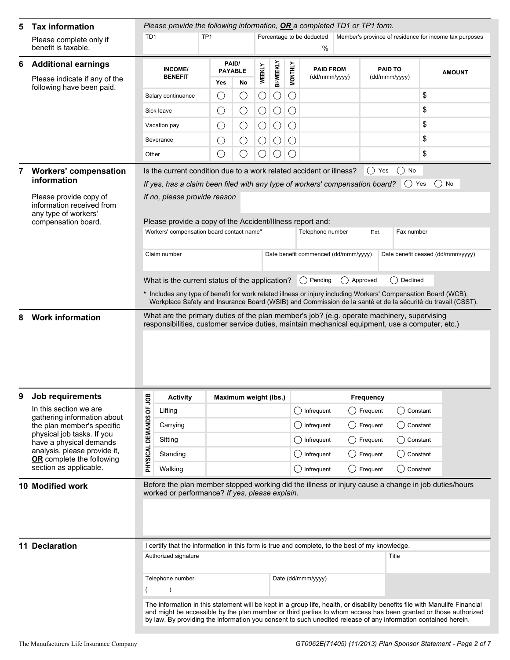| 5 | <b>Tax information</b>                                                                             | Please provide the following information, OR a completed TD1 or TP1 form.                                                                                                                                                                                                                                                                                        |                                                                                                                                                                                               |                 |                       |            |                  |                                             |                 |                                      |             |                  |                                               |                                                                                                                                                                                                                               |  |
|---|----------------------------------------------------------------------------------------------------|------------------------------------------------------------------------------------------------------------------------------------------------------------------------------------------------------------------------------------------------------------------------------------------------------------------------------------------------------------------|-----------------------------------------------------------------------------------------------------------------------------------------------------------------------------------------------|-----------------|-----------------------|------------|------------------|---------------------------------------------|-----------------|--------------------------------------|-------------|------------------|-----------------------------------------------|-------------------------------------------------------------------------------------------------------------------------------------------------------------------------------------------------------------------------------|--|
|   | Please complete only if<br>benefit is taxable.                                                     | TD <sub>1</sub>                                                                                                                                                                                                                                                                                                                                                  |                                                                                                                                                                                               | TP <sub>1</sub> |                       |            |                  |                                             |                 | Percentage to be deducted<br>%       |             |                  |                                               | Member's province of residence for income tax purposes                                                                                                                                                                        |  |
| 6 | <b>Additional earnings</b>                                                                         | PAID/<br>INCOME/<br><b>PAYABLE</b>                                                                                                                                                                                                                                                                                                                               |                                                                                                                                                                                               |                 |                       |            | <b>PAID FROM</b> |                                             |                 | <b>PAID TO</b>                       |             |                  |                                               |                                                                                                                                                                                                                               |  |
|   | Please indicate if any of the<br>following have been paid.                                         |                                                                                                                                                                                                                                                                                                                                                                  | <b>BENEFIT</b>                                                                                                                                                                                |                 | Yes                   | No         | <b>WEEKLY</b>    | <b>BI-WEEKLY</b>                            | <b>MONTHLY</b>  | (dd/mmm/yyyy)                        |             |                  | (dd/mmm/yyyy)                                 | <b>AMOUNT</b>                                                                                                                                                                                                                 |  |
|   |                                                                                                    |                                                                                                                                                                                                                                                                                                                                                                  | Salary continuance                                                                                                                                                                            |                 | $\bigcirc$            | O          | С                | $\bigcirc$                                  | $\bigcirc$      |                                      |             |                  |                                               | \$                                                                                                                                                                                                                            |  |
|   |                                                                                                    |                                                                                                                                                                                                                                                                                                                                                                  | Sick leave                                                                                                                                                                                    |                 | $\bigcirc$            | $\bigcirc$ | $\bigcirc$       | $\bigcirc$                                  | $\bigcirc$      |                                      |             |                  |                                               | \$                                                                                                                                                                                                                            |  |
|   |                                                                                                    |                                                                                                                                                                                                                                                                                                                                                                  | Vacation pay                                                                                                                                                                                  |                 | $\bigcirc$            | $\bigcirc$ | $\bigcirc$       | $\bigcirc$                                  | $\bigcirc$      |                                      |             |                  |                                               | \$                                                                                                                                                                                                                            |  |
|   |                                                                                                    |                                                                                                                                                                                                                                                                                                                                                                  | Severance                                                                                                                                                                                     |                 | O                     | $\bigcirc$ | $\bigcirc$       | $\bigcirc$                                  | $\bigcirc$      |                                      |             |                  |                                               | \$                                                                                                                                                                                                                            |  |
|   |                                                                                                    | Other                                                                                                                                                                                                                                                                                                                                                            |                                                                                                                                                                                               |                 | $\bigcirc$            | ○          | ()               | $\left(\begin{array}{c} \end{array}\right)$ | $\left(\right)$ |                                      |             |                  |                                               | \$                                                                                                                                                                                                                            |  |
|   | <b>Workers' compensation</b><br>information                                                        |                                                                                                                                                                                                                                                                                                                                                                  | Is the current condition due to a work related accident or illness?                                                                                                                           |                 |                       |            |                  |                                             |                 |                                      |             | $()$ Yes         | No<br>( )                                     |                                                                                                                                                                                                                               |  |
|   | Please provide copy of<br>information received from<br>any type of workers'<br>compensation board. | If yes, has a claim been filed with any type of workers' compensation board?<br>( ) Yes<br>If no, please provide reason<br>Please provide a copy of the Accident/Illness report and:                                                                                                                                                                             |                                                                                                                                                                                               |                 |                       |            |                  |                                             |                 |                                      |             | ( ) No           |                                               |                                                                                                                                                                                                                               |  |
|   |                                                                                                    |                                                                                                                                                                                                                                                                                                                                                                  | Workers' compensation board contact name*                                                                                                                                                     |                 |                       |            |                  |                                             |                 | Telephone number                     |             | Ext.             | Fax number                                    |                                                                                                                                                                                                                               |  |
|   |                                                                                                    |                                                                                                                                                                                                                                                                                                                                                                  | Claim number                                                                                                                                                                                  |                 |                       |            |                  |                                             |                 | Date benefit commenced (dd/mmm/yyyy) |             |                  | Date benefit ceased (dd/mmm/yyyy)             |                                                                                                                                                                                                                               |  |
|   |                                                                                                    |                                                                                                                                                                                                                                                                                                                                                                  | What is the current status of the application?                                                                                                                                                |                 |                       |            |                  |                                             |                 | $( )$ Pending                        | () Approved |                  | Declined<br>$($ )                             |                                                                                                                                                                                                                               |  |
|   |                                                                                                    |                                                                                                                                                                                                                                                                                                                                                                  |                                                                                                                                                                                               |                 |                       |            |                  |                                             |                 |                                      |             |                  |                                               | * Includes any type of benefit for work related illness or injury including Workers' Compensation Board (WCB),<br>Workplace Safety and Insurance Board (WSIB) and Commission de la santé et de la sécurité du travail (CSST). |  |
|   | <b>Work information</b>                                                                            |                                                                                                                                                                                                                                                                                                                                                                  | What are the primary duties of the plan member's job? (e.g. operate machinery, supervising<br>responsibilities, customer service duties, maintain mechanical equipment, use a computer, etc.) |                 |                       |            |                  |                                             |                 |                                      |             |                  |                                               |                                                                                                                                                                                                                               |  |
|   |                                                                                                    |                                                                                                                                                                                                                                                                                                                                                                  |                                                                                                                                                                                               |                 |                       |            |                  |                                             |                 |                                      |             |                  |                                               |                                                                                                                                                                                                                               |  |
| 9 | <b>Job requirements</b>                                                                            |                                                                                                                                                                                                                                                                                                                                                                  | <b>Activity</b>                                                                                                                                                                               |                 | Maximum weight (lbs.) |            |                  |                                             |                 |                                      |             | <b>Frequency</b> |                                               |                                                                                                                                                                                                                               |  |
|   | In this section we are                                                                             |                                                                                                                                                                                                                                                                                                                                                                  | Lifting                                                                                                                                                                                       |                 |                       |            |                  |                                             |                 | () Infrequent                        |             | () Frequent      | () Constant                                   |                                                                                                                                                                                                                               |  |
|   | gathering information about<br>the plan member's specific                                          | PHYSICAL DEMANDS OF JOB                                                                                                                                                                                                                                                                                                                                          | Carrying                                                                                                                                                                                      |                 |                       |            |                  |                                             |                 | () Infrequent                        |             | () Frequent      | ( ) Constant                                  |                                                                                                                                                                                                                               |  |
|   | physical job tasks. If you<br>have a physical demands                                              |                                                                                                                                                                                                                                                                                                                                                                  | Sitting                                                                                                                                                                                       |                 |                       |            |                  |                                             |                 | $\bigcap$ Infrequent                 |             | Frequent         | $\left( \begin{array}{c} \end{array} \right)$ | Constant                                                                                                                                                                                                                      |  |
|   | analysis, please provide it,<br>OR complete the following                                          |                                                                                                                                                                                                                                                                                                                                                                  | Standing                                                                                                                                                                                      |                 |                       |            |                  |                                             |                 | $\bigcirc$ Infrequent                |             | Frequent         |                                               | Constant                                                                                                                                                                                                                      |  |
|   | section as applicable.                                                                             |                                                                                                                                                                                                                                                                                                                                                                  | Walking                                                                                                                                                                                       |                 |                       |            |                  |                                             |                 | () Infrequent                        |             | () Frequent      | () Constant                                   |                                                                                                                                                                                                                               |  |
|   | 10 Modified work                                                                                   |                                                                                                                                                                                                                                                                                                                                                                  | worked or performance? If yes, please explain.                                                                                                                                                |                 |                       |            |                  |                                             |                 |                                      |             |                  |                                               | Before the plan member stopped working did the illness or injury cause a change in job duties/hours                                                                                                                           |  |
|   | <b>11 Declaration</b>                                                                              | I certify that the information in this form is true and complete, to the best of my knowledge.                                                                                                                                                                                                                                                                   |                                                                                                                                                                                               |                 |                       |            |                  |                                             |                 |                                      |             |                  |                                               |                                                                                                                                                                                                                               |  |
|   |                                                                                                    |                                                                                                                                                                                                                                                                                                                                                                  | Authorized signature                                                                                                                                                                          |                 |                       |            |                  |                                             |                 | Title                                |             |                  |                                               |                                                                                                                                                                                                                               |  |
|   |                                                                                                    | Telephone number<br>Date (dd/mmm/yyyy)<br>$\overline{ }$                                                                                                                                                                                                                                                                                                         |                                                                                                                                                                                               |                 |                       |            |                  |                                             |                 |                                      |             |                  |                                               |                                                                                                                                                                                                                               |  |
|   |                                                                                                    |                                                                                                                                                                                                                                                                                                                                                                  |                                                                                                                                                                                               |                 |                       |            |                  |                                             |                 |                                      |             |                  |                                               |                                                                                                                                                                                                                               |  |
|   |                                                                                                    | The information in this statement will be kept in a group life, health, or disability benefits file with Manulife Financial<br>and might be accessible by the plan member or third parties to whom access has been granted or those authorized<br>by law. By providing the information you consent to such unedited release of any information contained herein. |                                                                                                                                                                                               |                 |                       |            |                  |                                             |                 |                                      |             |                  |                                               |                                                                                                                                                                                                                               |  |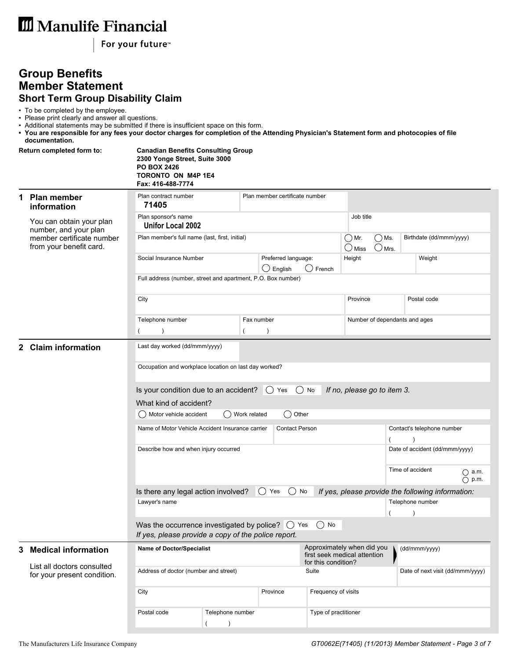For your future<sup>™</sup>

### **Group Benefits Member Statement Short Term Group Disability Claim**

• To be completed by the employee.

- Please print clearly and answer all questions.
- Additional statements may be submitted if there is insufficient space on this form.
- **You are responsible for any fees your doctor charges for completion of the Attending Physician's Statement form and photocopies of file documentation.**

|    | Return completed form to:                                 | <b>Canadian Benefits Consulting Group</b><br>2300 Yonge Street, Suite 3000<br><b>PO BOX 2426</b><br>TORONTO ON M4P 1E4<br>Fax: 416-488-7774 |                                                              |                                                                        |                                                       |                               |                                                   |  |  |  |  |  |
|----|-----------------------------------------------------------|---------------------------------------------------------------------------------------------------------------------------------------------|--------------------------------------------------------------|------------------------------------------------------------------------|-------------------------------------------------------|-------------------------------|---------------------------------------------------|--|--|--|--|--|
| 1  | Plan member<br>information                                | Plan contract number<br>71405                                                                                                               |                                                              | Plan member certificate number                                         |                                                       |                               |                                                   |  |  |  |  |  |
|    | You can obtain your plan<br>number, and your plan         | Plan sponsor's name<br><b>Unifor Local 2002</b>                                                                                             |                                                              | Job title                                                              |                                                       |                               |                                                   |  |  |  |  |  |
|    | member certificate number<br>from your benefit card.      | Plan member's full name (last, first, initial)                                                                                              |                                                              | $\bigcirc$ Ms.<br>$\bigcirc$ Mr.<br>$\bigcirc$ Miss<br>$\bigcirc$ Mrs. |                                                       | Birthdate (dd/mmm/yyyy)       |                                                   |  |  |  |  |  |
|    |                                                           | Social Insurance Number                                                                                                                     |                                                              | Preferred language:<br>$\bigcirc$ English                              | $\bigcirc$ French                                     | Height                        | Weight                                            |  |  |  |  |  |
|    |                                                           |                                                                                                                                             | Full address (number, street and apartment, P.O. Box number) |                                                                        |                                                       |                               |                                                   |  |  |  |  |  |
|    |                                                           | City                                                                                                                                        |                                                              |                                                                        |                                                       | Province                      | Postal code                                       |  |  |  |  |  |
|    |                                                           | Telephone number                                                                                                                            |                                                              | Fax number                                                             |                                                       | Number of dependants and ages |                                                   |  |  |  |  |  |
|    |                                                           | $\lambda$<br>$\overline{ }$                                                                                                                 |                                                              | $\lambda$                                                              |                                                       |                               |                                                   |  |  |  |  |  |
|    | 2 Claim information                                       | Last day worked (dd/mmm/yyyy)<br>Occupation and workplace location on last day worked?                                                      |                                                              |                                                                        |                                                       |                               |                                                   |  |  |  |  |  |
|    |                                                           |                                                                                                                                             |                                                              |                                                                        |                                                       |                               |                                                   |  |  |  |  |  |
|    |                                                           | Is your condition due to an accident? $\bigcirc$ Yes<br>What kind of accident?<br>() Motor vehicle accident                                 | If no, please go to item 3.                                  |                                                                        |                                                       |                               |                                                   |  |  |  |  |  |
|    |                                                           | Name of Motor Vehicle Accident Insurance carrier                                                                                            |                                                              |                                                                        | Contact's telephone number                            |                               |                                                   |  |  |  |  |  |
|    |                                                           | Describe how and when injury occurred                                                                                                       |                                                              |                                                                        | Date of accident (dd/mmm/yyyy)                        |                               |                                                   |  |  |  |  |  |
|    |                                                           |                                                                                                                                             |                                                              |                                                                        | Time of accident<br>$\bigcirc$ a.m.<br>$\bigcap$ p.m. |                               |                                                   |  |  |  |  |  |
|    |                                                           | Is there any legal action involved?                                                                                                         |                                                              | $()$ Yes<br>$($ )                                                      | No                                                    |                               | If yes, please provide the following information: |  |  |  |  |  |
|    |                                                           | Lawyer's name                                                                                                                               |                                                              |                                                                        | Telephone number                                      |                               |                                                   |  |  |  |  |  |
|    |                                                           | Was the occurrence investigated by police? $\bigcirc$ Yes $\bigcirc$ No<br>If yes, please provide a copy of the police report.              |                                                              | $\lambda$                                                              |                                                       |                               |                                                   |  |  |  |  |  |
| 3. | <b>Medical information</b>                                | <b>Name of Doctor/Specialist</b>                                                                                                            |                                                              | Approximately when did you<br>first seek medical attention             | (dd/mmm/yyyy)                                         |                               |                                                   |  |  |  |  |  |
|    | List all doctors consulted<br>for your present condition. | Address of doctor (number and street)                                                                                                       |                                                              |                                                                        | for this condition?<br>Suite                          |                               | Date of next visit (dd/mmm/yyyy)                  |  |  |  |  |  |
|    |                                                           | City                                                                                                                                        |                                                              | Province                                                               | Frequency of visits                                   |                               |                                                   |  |  |  |  |  |
|    |                                                           | Postal code                                                                                                                                 | Telephone number                                             |                                                                        | Type of practitioner                                  |                               |                                                   |  |  |  |  |  |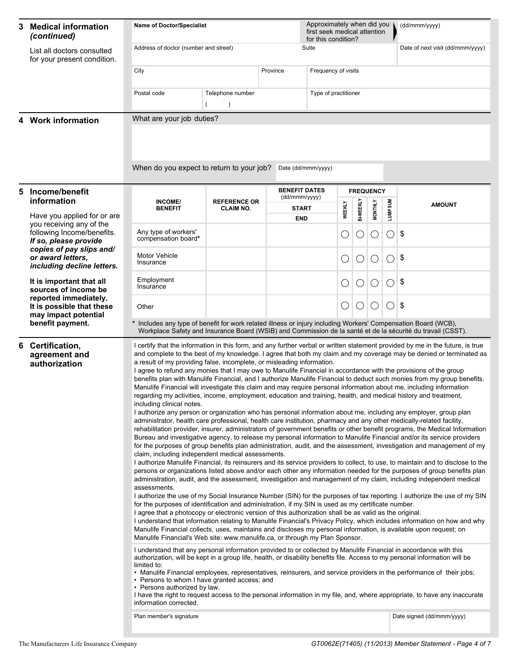| 3                       | <b>Medical information</b><br>(continued)                                                                                                          | Approximately when did you<br><b>Name of Doctor/Specialist</b><br>first seek medical attention<br>for this condition?                                                                                                                                                                                                                                                                                                                                                                                                                                                                                                                                                                                                                                                                                                                                                                                                                                                                                                                                                                          |                                         |                      |                               |                                                     |            |                  |                  | (dd/mmm/yyyy)                                                                                                                                                                                                                                                                                                                                                                                                                                                                                                                                                                                                                                                                                                                                                                                                                                                                                                                                                                                                                                                                                                                                                                                                                                                                                                                                                                                                                                                                                                                                                                                                                                                                                                                                                                                                                                                                                                                                                                                                                                                                                                                                                                                                                                                          |  |  |  |  |  |
|-------------------------|----------------------------------------------------------------------------------------------------------------------------------------------------|------------------------------------------------------------------------------------------------------------------------------------------------------------------------------------------------------------------------------------------------------------------------------------------------------------------------------------------------------------------------------------------------------------------------------------------------------------------------------------------------------------------------------------------------------------------------------------------------------------------------------------------------------------------------------------------------------------------------------------------------------------------------------------------------------------------------------------------------------------------------------------------------------------------------------------------------------------------------------------------------------------------------------------------------------------------------------------------------|-----------------------------------------|----------------------|-------------------------------|-----------------------------------------------------|------------|------------------|------------------|------------------------------------------------------------------------------------------------------------------------------------------------------------------------------------------------------------------------------------------------------------------------------------------------------------------------------------------------------------------------------------------------------------------------------------------------------------------------------------------------------------------------------------------------------------------------------------------------------------------------------------------------------------------------------------------------------------------------------------------------------------------------------------------------------------------------------------------------------------------------------------------------------------------------------------------------------------------------------------------------------------------------------------------------------------------------------------------------------------------------------------------------------------------------------------------------------------------------------------------------------------------------------------------------------------------------------------------------------------------------------------------------------------------------------------------------------------------------------------------------------------------------------------------------------------------------------------------------------------------------------------------------------------------------------------------------------------------------------------------------------------------------------------------------------------------------------------------------------------------------------------------------------------------------------------------------------------------------------------------------------------------------------------------------------------------------------------------------------------------------------------------------------------------------------------------------------------------------------------------------------------------------|--|--|--|--|--|
|                         | List all doctors consulted<br>for your present condition.                                                                                          | Address of doctor (number and street)<br>Suite                                                                                                                                                                                                                                                                                                                                                                                                                                                                                                                                                                                                                                                                                                                                                                                                                                                                                                                                                                                                                                                 |                                         |                      |                               |                                                     |            |                  |                  | Date of next visit (dd/mmm/yyyy)                                                                                                                                                                                                                                                                                                                                                                                                                                                                                                                                                                                                                                                                                                                                                                                                                                                                                                                                                                                                                                                                                                                                                                                                                                                                                                                                                                                                                                                                                                                                                                                                                                                                                                                                                                                                                                                                                                                                                                                                                                                                                                                                                                                                                                       |  |  |  |  |  |
|                         |                                                                                                                                                    | City<br>Province                                                                                                                                                                                                                                                                                                                                                                                                                                                                                                                                                                                                                                                                                                                                                                                                                                                                                                                                                                                                                                                                               |                                         |                      | Frequency of visits           |                                                     |            |                  |                  |                                                                                                                                                                                                                                                                                                                                                                                                                                                                                                                                                                                                                                                                                                                                                                                                                                                                                                                                                                                                                                                                                                                                                                                                                                                                                                                                                                                                                                                                                                                                                                                                                                                                                                                                                                                                                                                                                                                                                                                                                                                                                                                                                                                                                                                                        |  |  |  |  |  |
|                         |                                                                                                                                                    | Postal code                                                                                                                                                                                                                                                                                                                                                                                                                                                                                                                                                                                                                                                                                                                                                                                                                                                                                                                                                                                                                                                                                    | Telephone number<br>$\lambda$           | Type of practitioner |                               |                                                     |            |                  |                  |                                                                                                                                                                                                                                                                                                                                                                                                                                                                                                                                                                                                                                                                                                                                                                                                                                                                                                                                                                                                                                                                                                                                                                                                                                                                                                                                                                                                                                                                                                                                                                                                                                                                                                                                                                                                                                                                                                                                                                                                                                                                                                                                                                                                                                                                        |  |  |  |  |  |
|                         | 4 Work information                                                                                                                                 | What are your job duties?                                                                                                                                                                                                                                                                                                                                                                                                                                                                                                                                                                                                                                                                                                                                                                                                                                                                                                                                                                                                                                                                      |                                         |                      |                               |                                                     |            |                  |                  |                                                                                                                                                                                                                                                                                                                                                                                                                                                                                                                                                                                                                                                                                                                                                                                                                                                                                                                                                                                                                                                                                                                                                                                                                                                                                                                                                                                                                                                                                                                                                                                                                                                                                                                                                                                                                                                                                                                                                                                                                                                                                                                                                                                                                                                                        |  |  |  |  |  |
|                         |                                                                                                                                                    | When do you expect to return to your job?                                                                                                                                                                                                                                                                                                                                                                                                                                                                                                                                                                                                                                                                                                                                                                                                                                                                                                                                                                                                                                                      |                                         |                      | Date (dd/mmm/yyyy)            |                                                     |            |                  |                  |                                                                                                                                                                                                                                                                                                                                                                                                                                                                                                                                                                                                                                                                                                                                                                                                                                                                                                                                                                                                                                                                                                                                                                                                                                                                                                                                                                                                                                                                                                                                                                                                                                                                                                                                                                                                                                                                                                                                                                                                                                                                                                                                                                                                                                                                        |  |  |  |  |  |
| 5                       | Income/benefit                                                                                                                                     |                                                                                                                                                                                                                                                                                                                                                                                                                                                                                                                                                                                                                                                                                                                                                                                                                                                                                                                                                                                                                                                                                                |                                         |                      | <b>BENEFIT DATES</b>          |                                                     |            | <b>FREQUENCY</b> |                  |                                                                                                                                                                                                                                                                                                                                                                                                                                                                                                                                                                                                                                                                                                                                                                                                                                                                                                                                                                                                                                                                                                                                                                                                                                                                                                                                                                                                                                                                                                                                                                                                                                                                                                                                                                                                                                                                                                                                                                                                                                                                                                                                                                                                                                                                        |  |  |  |  |  |
|                         | information                                                                                                                                        | <b>INCOME/</b><br><b>BENEFIT</b>                                                                                                                                                                                                                                                                                                                                                                                                                                                                                                                                                                                                                                                                                                                                                                                                                                                                                                                                                                                                                                                               | <b>REFERENCE OR</b><br><b>CLAIM NO.</b> |                      | (dd/mmm/yyyy)<br><b>START</b> | <b>BI-WEEKLY</b><br><b>MONTHLY</b><br><b>WEEKLY</b> |            |                  |                  | <b>AMOUNT</b>                                                                                                                                                                                                                                                                                                                                                                                                                                                                                                                                                                                                                                                                                                                                                                                                                                                                                                                                                                                                                                                                                                                                                                                                                                                                                                                                                                                                                                                                                                                                                                                                                                                                                                                                                                                                                                                                                                                                                                                                                                                                                                                                                                                                                                                          |  |  |  |  |  |
|                         | Have you applied for or are                                                                                                                        |                                                                                                                                                                                                                                                                                                                                                                                                                                                                                                                                                                                                                                                                                                                                                                                                                                                                                                                                                                                                                                                                                                |                                         |                      | <b>END</b>                    |                                                     |            |                  | LUMP SUM         |                                                                                                                                                                                                                                                                                                                                                                                                                                                                                                                                                                                                                                                                                                                                                                                                                                                                                                                                                                                                                                                                                                                                                                                                                                                                                                                                                                                                                                                                                                                                                                                                                                                                                                                                                                                                                                                                                                                                                                                                                                                                                                                                                                                                                                                                        |  |  |  |  |  |
|                         | you receiving any of the<br>following Income/benefits.<br>If so, please provide<br>copies of pay slips and/                                        | Any type of workers'<br>compensation board*                                                                                                                                                                                                                                                                                                                                                                                                                                                                                                                                                                                                                                                                                                                                                                                                                                                                                                                                                                                                                                                    |                                         |                      |                               |                                                     |            | O                | ()               | 5                                                                                                                                                                                                                                                                                                                                                                                                                                                                                                                                                                                                                                                                                                                                                                                                                                                                                                                                                                                                                                                                                                                                                                                                                                                                                                                                                                                                                                                                                                                                                                                                                                                                                                                                                                                                                                                                                                                                                                                                                                                                                                                                                                                                                                                                      |  |  |  |  |  |
|                         | or award letters.<br>including decline letters.                                                                                                    | Motor Vehicle<br>Insurance                                                                                                                                                                                                                                                                                                                                                                                                                                                                                                                                                                                                                                                                                                                                                                                                                                                                                                                                                                                                                                                                     |                                         |                      |                               | O                                                   | $\bigcirc$ | $\bigcirc$       | ( )              | \$                                                                                                                                                                                                                                                                                                                                                                                                                                                                                                                                                                                                                                                                                                                                                                                                                                                                                                                                                                                                                                                                                                                                                                                                                                                                                                                                                                                                                                                                                                                                                                                                                                                                                                                                                                                                                                                                                                                                                                                                                                                                                                                                                                                                                                                                     |  |  |  |  |  |
|                         | It is important that all<br>sources of income be<br>reported immediately.<br>It is possible that these<br>may impact potential<br>benefit payment. | Employment<br>Insurance                                                                                                                                                                                                                                                                                                                                                                                                                                                                                                                                                                                                                                                                                                                                                                                                                                                                                                                                                                                                                                                                        |                                         |                      |                               | O                                                   | $\bigcirc$ | $\bigcirc$       | $\bigcirc$       | \$                                                                                                                                                                                                                                                                                                                                                                                                                                                                                                                                                                                                                                                                                                                                                                                                                                                                                                                                                                                                                                                                                                                                                                                                                                                                                                                                                                                                                                                                                                                                                                                                                                                                                                                                                                                                                                                                                                                                                                                                                                                                                                                                                                                                                                                                     |  |  |  |  |  |
|                         |                                                                                                                                                    | Other<br>Includes any type of benefit for work related illness or injury including Workers' Compensation Board (WCB),                                                                                                                                                                                                                                                                                                                                                                                                                                                                                                                                                                                                                                                                                                                                                                                                                                                                                                                                                                          |                                         |                      |                               | O                                                   | $\bigcirc$ | $\bigcirc$       | $\left( \right)$ | \$                                                                                                                                                                                                                                                                                                                                                                                                                                                                                                                                                                                                                                                                                                                                                                                                                                                                                                                                                                                                                                                                                                                                                                                                                                                                                                                                                                                                                                                                                                                                                                                                                                                                                                                                                                                                                                                                                                                                                                                                                                                                                                                                                                                                                                                                     |  |  |  |  |  |
|                         |                                                                                                                                                    |                                                                                                                                                                                                                                                                                                                                                                                                                                                                                                                                                                                                                                                                                                                                                                                                                                                                                                                                                                                                                                                                                                |                                         |                      |                               |                                                     |            |                  |                  |                                                                                                                                                                                                                                                                                                                                                                                                                                                                                                                                                                                                                                                                                                                                                                                                                                                                                                                                                                                                                                                                                                                                                                                                                                                                                                                                                                                                                                                                                                                                                                                                                                                                                                                                                                                                                                                                                                                                                                                                                                                                                                                                                                                                                                                                        |  |  |  |  |  |
| 6                       | Certification,<br>agreement and<br>authorization                                                                                                   | a result of my providing false, incomplete, or misleading information.<br>regarding my activities, income, employment, education and training, health, and medical history and treatment,<br>including clinical notes.<br>administrator, health care professional, health care institution, pharmacy and any other medically-related facility,<br>claim, including independent medical assessments.<br>assessments.<br>for the purposes of identification and administration, if my SIN is used as my certificate number.<br>I agree that a photocopy or electronic version of this authorization shall be as valid as the original.<br>Manulife Financial's Web site: www.manulife.ca, or through my Plan Sponsor.<br>I understand that any personal information provided to or collected by Manulife Financial in accordance with this<br>limited to:<br>• Persons to whom I have granted access; and<br>• Persons authorized by law.<br>I have the right to request access to the personal information in my file, and, where appropriate, to have any inaccurate<br>information corrected. |                                         |                      |                               |                                                     |            |                  |                  | Workplace Safety and Insurance Board (WSIB) and Commission de la santé et de la sécurité du travail (CSST).<br>I certify that the information in this form, and any further verbal or written statement provided by me in the future, is true<br>and complete to the best of my knowledge. I agree that both my claim and my coverage may be denied or terminated as<br>I agree to refund any monies that I may owe to Manulife Financial in accordance with the provisions of the group<br>benefits plan with Manulife Financial, and I authorize Manulife Financial to deduct such monies from my group benefits.<br>Manulife Financial will investigate this claim and may require personal information about me, including information<br>I authorize any person or organization who has personal information about me, including any employer, group plan<br>rehabilitation provider, insurer, administrators of government benefits or other benefit programs, the Medical Information<br>Bureau and investigative agency, to release my personal information to Manulife Financial and/or its service providers<br>for the purposes of group benefits plan administration, audit, and the assessment, investigation and management of my<br>I authorize Manulife Financial, its reinsurers and its service providers to collect, to use, to maintain and to disclose to the<br>persons or organizations listed above and/or each other any information needed for the purposes of group benefits plan<br>administration, audit, and the assessment, investigation and management of my claim, including independent medical<br>I authorize the use of my Social Insurance Number (SIN) for the purposes of tax reporting. I authorize the use of my SIN<br>I understand that information relating to Manulife Financial's Privacy Policy, which includes information on how and why<br>Manulife Financial collects, uses, maintains and discloses my personal information, is available upon request; on<br>authorization, will be kept in a group life, health, or disability benefits file. Access to my personal information will be<br>• Manulife Financial employees, representatives, reinsurers, and service providers in the performance of their jobs; |  |  |  |  |  |
| Plan member's signature |                                                                                                                                                    |                                                                                                                                                                                                                                                                                                                                                                                                                                                                                                                                                                                                                                                                                                                                                                                                                                                                                                                                                                                                                                                                                                |                                         |                      |                               |                                                     |            |                  |                  | Date signed (dd/mmm/yyyy)                                                                                                                                                                                                                                                                                                                                                                                                                                                                                                                                                                                                                                                                                                                                                                                                                                                                                                                                                                                                                                                                                                                                                                                                                                                                                                                                                                                                                                                                                                                                                                                                                                                                                                                                                                                                                                                                                                                                                                                                                                                                                                                                                                                                                                              |  |  |  |  |  |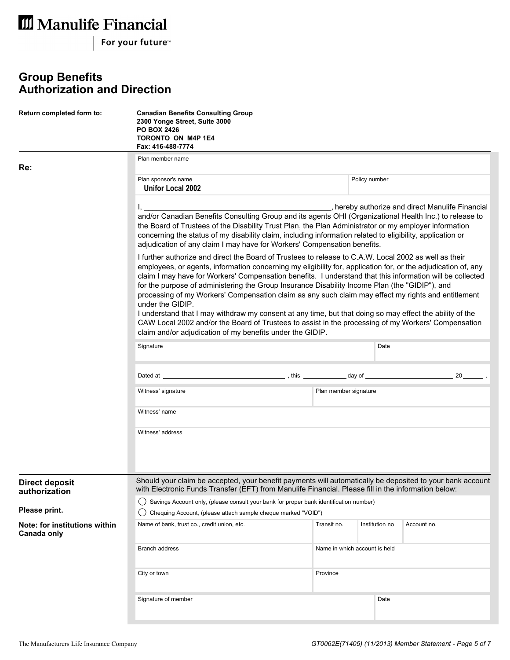For your future<sup>™</sup>

## **Group Benefits Authorization and Direction**

| Return completed form to:                    | <b>Canadian Benefits Consulting Group</b><br>2300 Yonge Street, Suite 3000<br><b>PO BOX 2426</b><br><b>TORONTO ON M4P 1E4</b><br>Fax: 416-488-7774                                                                                                                                                                                                                                                                                                                                                                                                                                                                                                                                                                                                                                                                                                                                                                                                                                                                                                                                         |                               |  |      |                                                |  |  |  |  |  |  |
|----------------------------------------------|--------------------------------------------------------------------------------------------------------------------------------------------------------------------------------------------------------------------------------------------------------------------------------------------------------------------------------------------------------------------------------------------------------------------------------------------------------------------------------------------------------------------------------------------------------------------------------------------------------------------------------------------------------------------------------------------------------------------------------------------------------------------------------------------------------------------------------------------------------------------------------------------------------------------------------------------------------------------------------------------------------------------------------------------------------------------------------------------|-------------------------------|--|------|------------------------------------------------|--|--|--|--|--|--|
| Re:                                          | Plan member name                                                                                                                                                                                                                                                                                                                                                                                                                                                                                                                                                                                                                                                                                                                                                                                                                                                                                                                                                                                                                                                                           |                               |  |      |                                                |  |  |  |  |  |  |
|                                              | Plan sponsor's name<br>Unifor Local 2002                                                                                                                                                                                                                                                                                                                                                                                                                                                                                                                                                                                                                                                                                                                                                                                                                                                                                                                                                                                                                                                   | Policy number                 |  |      |                                                |  |  |  |  |  |  |
|                                              | and/or Canadian Benefits Consulting Group and its agents OHI (Organizational Health Inc.) to release to<br>the Board of Trustees of the Disability Trust Plan, the Plan Administrator or my employer information<br>concerning the status of my disability claim, including information related to eligibility, application or<br>adjudication of any claim I may have for Workers' Compensation benefits.<br>I further authorize and direct the Board of Trustees to release to C.A.W. Local 2002 as well as their<br>employees, or agents, information concerning my eligibility for, application for, or the adjudication of, any<br>claim I may have for Workers' Compensation benefits. I understand that this information will be collected<br>for the purpose of administering the Group Insurance Disability Income Plan (the "GIDIP"), and<br>processing of my Workers' Compensation claim as any such claim may effect my rights and entitlement<br>under the GIDIP.<br>I understand that I may withdraw my consent at any time, but that doing so may effect the ability of the |                               |  |      | hereby authorize and direct Manulife Financial |  |  |  |  |  |  |
|                                              | CAW Local 2002 and/or the Board of Trustees to assist in the processing of my Workers' Compensation<br>claim and/or adjudication of my benefits under the GIDIP.                                                                                                                                                                                                                                                                                                                                                                                                                                                                                                                                                                                                                                                                                                                                                                                                                                                                                                                           |                               |  |      |                                                |  |  |  |  |  |  |
|                                              | Signature                                                                                                                                                                                                                                                                                                                                                                                                                                                                                                                                                                                                                                                                                                                                                                                                                                                                                                                                                                                                                                                                                  | Date                          |  |      |                                                |  |  |  |  |  |  |
|                                              | Dated at the contract of the contract of the contract of the contract of the contract of the contract of the contract of the contract of the contract of the contract of the contract of the contract of the contract of the c                                                                                                                                                                                                                                                                                                                                                                                                                                                                                                                                                                                                                                                                                                                                                                                                                                                             |                               |  |      |                                                |  |  |  |  |  |  |
|                                              | Witness' signature<br>Plan member signature                                                                                                                                                                                                                                                                                                                                                                                                                                                                                                                                                                                                                                                                                                                                                                                                                                                                                                                                                                                                                                                |                               |  |      |                                                |  |  |  |  |  |  |
|                                              | Witness' name                                                                                                                                                                                                                                                                                                                                                                                                                                                                                                                                                                                                                                                                                                                                                                                                                                                                                                                                                                                                                                                                              |                               |  |      |                                                |  |  |  |  |  |  |
|                                              | Witness' address                                                                                                                                                                                                                                                                                                                                                                                                                                                                                                                                                                                                                                                                                                                                                                                                                                                                                                                                                                                                                                                                           |                               |  |      |                                                |  |  |  |  |  |  |
| <b>Direct deposit</b><br>authorization       | Should your claim be accepted, your benefit payments will automatically be deposited to your bank account<br>with Electronic Funds Transfer (EFT) from Manulife Financial. Please fill in the information below:                                                                                                                                                                                                                                                                                                                                                                                                                                                                                                                                                                                                                                                                                                                                                                                                                                                                           |                               |  |      |                                                |  |  |  |  |  |  |
| Please print.                                | Savings Account only, (please consult your bank for proper bank identification number)<br>Chequing Account, (please attach sample cheque marked "VOID")                                                                                                                                                                                                                                                                                                                                                                                                                                                                                                                                                                                                                                                                                                                                                                                                                                                                                                                                    |                               |  |      |                                                |  |  |  |  |  |  |
| Note: for institutions within<br>Canada only | Account no.                                                                                                                                                                                                                                                                                                                                                                                                                                                                                                                                                                                                                                                                                                                                                                                                                                                                                                                                                                                                                                                                                |                               |  |      |                                                |  |  |  |  |  |  |
|                                              | Branch address                                                                                                                                                                                                                                                                                                                                                                                                                                                                                                                                                                                                                                                                                                                                                                                                                                                                                                                                                                                                                                                                             | Name in which account is held |  |      |                                                |  |  |  |  |  |  |
|                                              | Province<br>City or town                                                                                                                                                                                                                                                                                                                                                                                                                                                                                                                                                                                                                                                                                                                                                                                                                                                                                                                                                                                                                                                                   |                               |  |      |                                                |  |  |  |  |  |  |
|                                              | Signature of member                                                                                                                                                                                                                                                                                                                                                                                                                                                                                                                                                                                                                                                                                                                                                                                                                                                                                                                                                                                                                                                                        |                               |  | Date |                                                |  |  |  |  |  |  |
|                                              |                                                                                                                                                                                                                                                                                                                                                                                                                                                                                                                                                                                                                                                                                                                                                                                                                                                                                                                                                                                                                                                                                            |                               |  |      |                                                |  |  |  |  |  |  |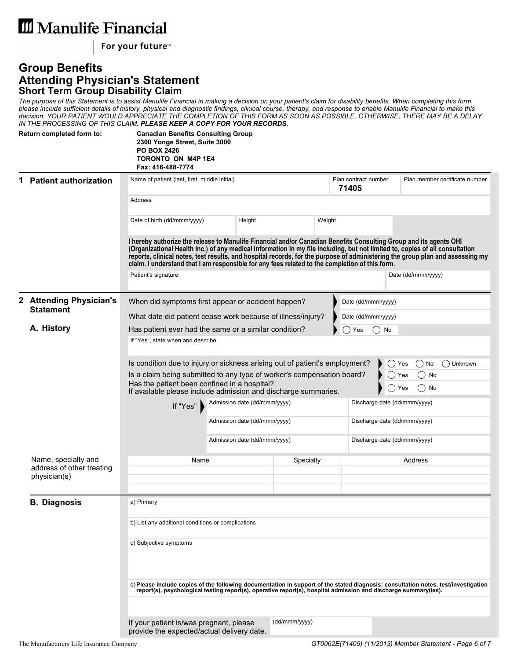For your future<sup>™</sup>

#### **Group Benefits Attending Physician's Statement Short Term Group Disability Claim**

*The purpose of this Statement is to assist Manulife Financial in making a decision on your patient's claim for disability benefits. When completing this form, please include sufficient details of history, physical and diagnostic findings, clinical course, therapy, and response to enable Manulife Financial to make this decision. YOUR PATIENT WOULD APPRECIATE THE COMPLETION OF THIS FORM AS SOON AS POSSIBLE, OTHERWISE, THERE MAY BE A DELAY IN THE PROCESSING OF THIS CLAIM. PLEASE KEEP A COPY FOR YOUR RECORDS.*

|             | Return completed form to:                   | <b>Canadian Benefits Consulting Group</b><br>2300 Yonge Street, Suite 3000<br><b>PO BOX 2426</b><br>TORONTO ON M4P 1E4<br>Fax: 416-488-7774                                                                                                                                                                                                         |                              |           |        |                               |                              |                                                                                                                                    |  |  |  |
|-------------|---------------------------------------------|-----------------------------------------------------------------------------------------------------------------------------------------------------------------------------------------------------------------------------------------------------------------------------------------------------------------------------------------------------|------------------------------|-----------|--------|-------------------------------|------------------------------|------------------------------------------------------------------------------------------------------------------------------------|--|--|--|
| $\mathbf 1$ | <b>Patient authorization</b>                | Name of patient (last, first, middle initial)                                                                                                                                                                                                                                                                                                       |                              |           |        | Plan contract number<br>71405 |                              | Plan member certificate number                                                                                                     |  |  |  |
|             |                                             | Address                                                                                                                                                                                                                                                                                                                                             |                              |           |        |                               |                              |                                                                                                                                    |  |  |  |
|             |                                             | Date of birth (dd/mmm/yyyy)                                                                                                                                                                                                                                                                                                                         |                              | Height    | Weight |                               |                              |                                                                                                                                    |  |  |  |
|             |                                             | I hereby authorize the release to Manulife Financial and/or Canadian Benefits Consulting Group and its agents OHI<br>(Organizational Health Inc.) of any medical information in my file including, but not limited to, copies of all consultation<br>claim. I understand that I am responsible for any fees related to the completion of this form. |                              |           |        |                               |                              | reports, clinical notes, test results, and hospital records, for the purpose of administering the group plan and assessing my      |  |  |  |
|             |                                             | Patient's signature                                                                                                                                                                                                                                                                                                                                 |                              |           |        |                               |                              | Date (dd/mmm/yyyy)                                                                                                                 |  |  |  |
|             | 2 Attending Physician's<br><b>Statement</b> | When did symptoms first appear or accident happen?                                                                                                                                                                                                                                                                                                  |                              |           |        | Date (dd/mmm/yyyy)            |                              |                                                                                                                                    |  |  |  |
|             |                                             | What date did patient cease work because of illness/injury?                                                                                                                                                                                                                                                                                         |                              |           |        | Date (dd/mmm/yyyy)            |                              |                                                                                                                                    |  |  |  |
|             | A. History                                  | Has patient ever had the same or a similar condition?<br>( )No<br>Yes                                                                                                                                                                                                                                                                               |                              |           |        |                               |                              |                                                                                                                                    |  |  |  |
|             |                                             | If "Yes", state when and describe.                                                                                                                                                                                                                                                                                                                  |                              |           |        |                               |                              |                                                                                                                                    |  |  |  |
|             |                                             | Is condition due to injury or sickness arising out of patient's employment?<br>() Unknown<br>Yes<br>$()$ No                                                                                                                                                                                                                                         |                              |           |        |                               |                              |                                                                                                                                    |  |  |  |
|             |                                             | Is a claim being submitted to any type of worker's compensation board?<br>◯<br>No<br>Yes<br>Has the patient been confined in a hospital?<br>No<br>( )<br>Yes<br>If available please include admission and discharge summaries.                                                                                                                      |                              |           |        |                               |                              |                                                                                                                                    |  |  |  |
|             |                                             | Admission date (dd/mmm/yyyy)<br>If "Yes"                                                                                                                                                                                                                                                                                                            |                              |           |        |                               |                              | Discharge date (dd/mmm/yyyy)                                                                                                       |  |  |  |
|             |                                             |                                                                                                                                                                                                                                                                                                                                                     | Admission date (dd/mmm/yyyy) |           |        |                               | Discharge date (dd/mmm/yyyy) |                                                                                                                                    |  |  |  |
|             |                                             |                                                                                                                                                                                                                                                                                                                                                     | Admission date (dd/mmm/yyyy) |           |        |                               | Discharge date (dd/mmm/yyyy) |                                                                                                                                    |  |  |  |
|             | Name, specialty and                         | Name                                                                                                                                                                                                                                                                                                                                                |                              | Specialty |        |                               |                              | Address                                                                                                                            |  |  |  |
|             | address of other treating<br>physician(s)   |                                                                                                                                                                                                                                                                                                                                                     |                              |           |        |                               |                              |                                                                                                                                    |  |  |  |
|             | <b>B. Diagnosis</b>                         | a) Primary                                                                                                                                                                                                                                                                                                                                          |                              |           |        |                               |                              |                                                                                                                                    |  |  |  |
|             |                                             | b) List any additional conditions or complications                                                                                                                                                                                                                                                                                                  |                              |           |        |                               |                              |                                                                                                                                    |  |  |  |
|             |                                             | c) Subjective symptoms                                                                                                                                                                                                                                                                                                                              |                              |           |        |                               |                              |                                                                                                                                    |  |  |  |
|             |                                             |                                                                                                                                                                                                                                                                                                                                                     |                              |           |        |                               |                              |                                                                                                                                    |  |  |  |
|             |                                             | report(s), psychological testing report(s), operative report(s), hospital admission and discharge summary(ies).                                                                                                                                                                                                                                     |                              |           |        |                               |                              | d) Please include copies of the following documentation in support of the stated diagnosis: consultation notes, test/investigation |  |  |  |
|             |                                             |                                                                                                                                                                                                                                                                                                                                                     |                              |           |        |                               |                              |                                                                                                                                    |  |  |  |
|             |                                             | (dd/mmm/yyyy)<br>If your patient is/was pregnant, please<br>provide the expected/actual delivery date.                                                                                                                                                                                                                                              |                              |           |        |                               |                              |                                                                                                                                    |  |  |  |